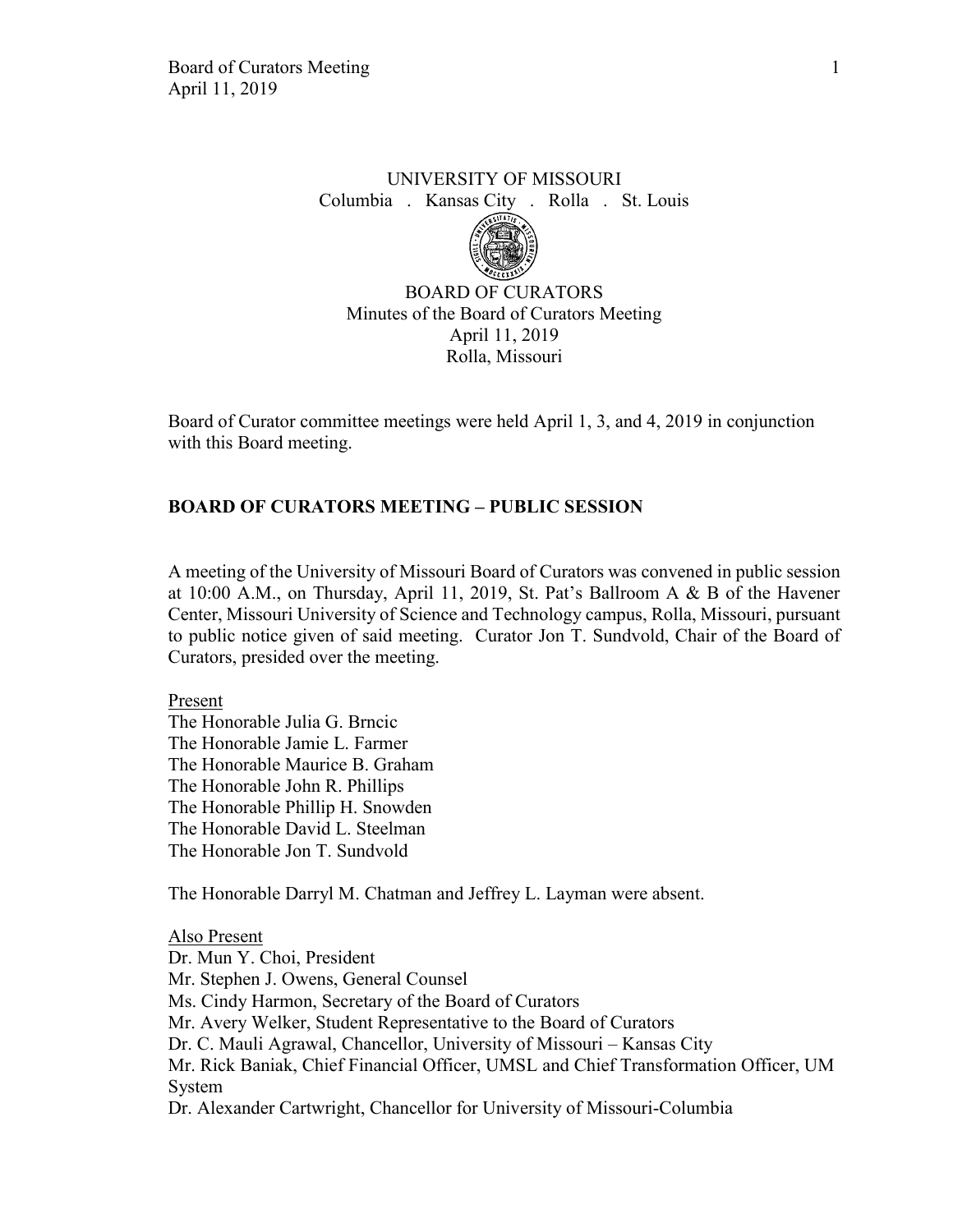# UNIVERSITY OF MISSOURI Columbia . Kansas City . Rolla . St. Louis



BOARD OF CURATORS Minutes of the Board of Curators Meeting April 11, 2019 Rolla, Missouri

Board of Curator committee meetings were held April 1, 3, and 4, 2019 in conjunction with this Board meeting.

# **BOARD OF CURATORS MEETING – PUBLIC SESSION**

A meeting of the University of Missouri Board of Curators was convened in public session at 10:00 A.M., on Thursday, April 11, 2019, St. Pat's Ballroom A & B of the Havener Center, Missouri University of Science and Technology campus, Rolla, Missouri, pursuant to public notice given of said meeting. Curator Jon T. Sundvold, Chair of the Board of Curators, presided over the meeting.

Present

The Honorable Julia G. Brncic The Honorable Jamie L. Farmer The Honorable Maurice B. Graham The Honorable John R. Phillips The Honorable Phillip H. Snowden The Honorable David L. Steelman The Honorable Jon T. Sundvold

The Honorable Darryl M. Chatman and Jeffrey L. Layman were absent.

Also Present Dr. Mun Y. Choi, President Mr. Stephen J. Owens, General Counsel Ms. Cindy Harmon, Secretary of the Board of Curators Mr. Avery Welker, Student Representative to the Board of Curators Dr. C. Mauli Agrawal, Chancellor, University of Missouri – Kansas City Mr. Rick Baniak, Chief Financial Officer, UMSL and Chief Transformation Officer, UM System Dr. Alexander Cartwright, Chancellor for University of Missouri-Columbia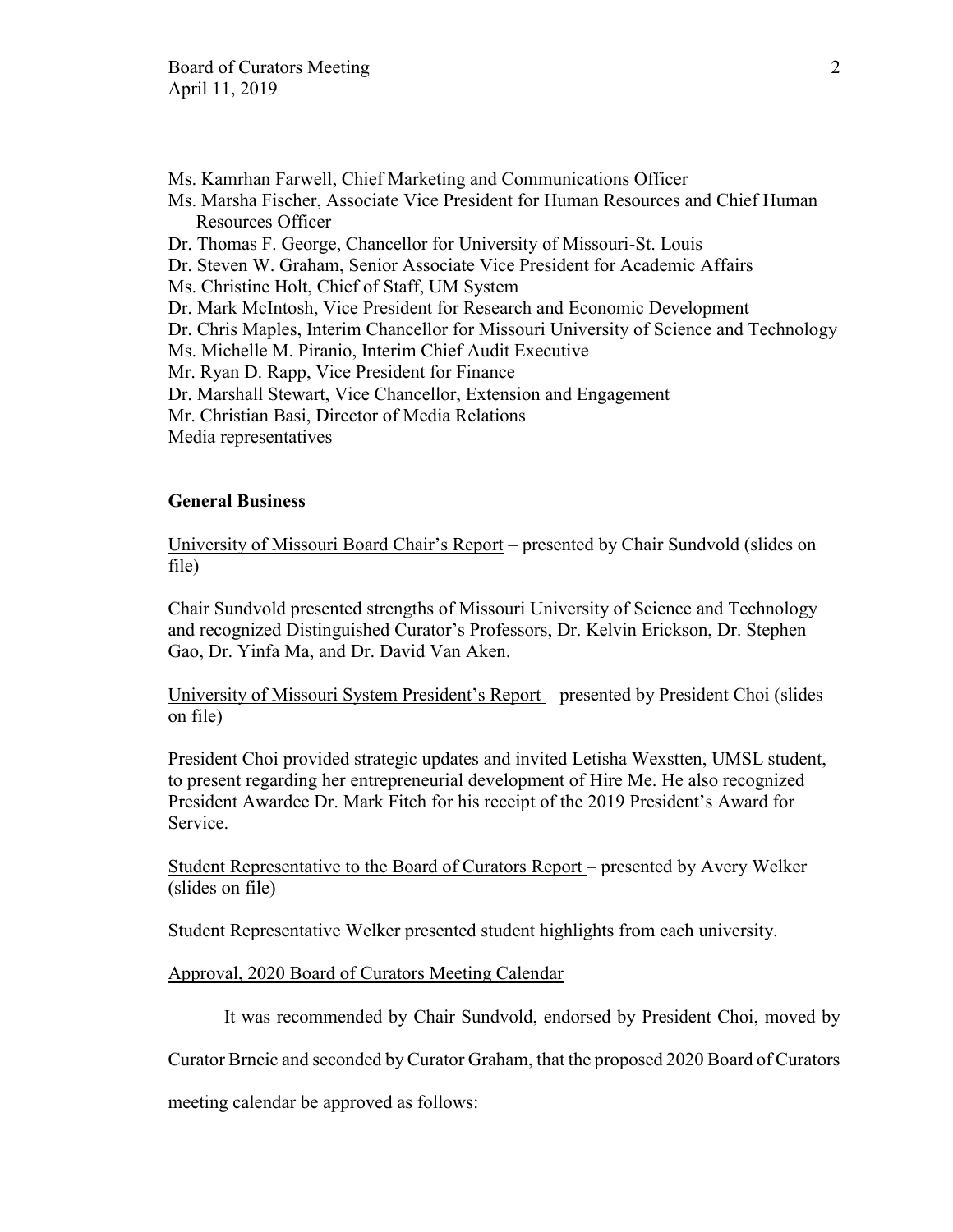- Ms. Kamrhan Farwell, Chief Marketing and Communications Officer
- Ms. Marsha Fischer, Associate Vice President for Human Resources and Chief Human Resources Officer
- Dr. Thomas F. George, Chancellor for University of Missouri-St. Louis
- Dr. Steven W. Graham, Senior Associate Vice President for Academic Affairs
- Ms. Christine Holt, Chief of Staff, UM System
- Dr. Mark McIntosh, Vice President for Research and Economic Development
- Dr. Chris Maples, Interim Chancellor for Missouri University of Science and Technology
- Ms. Michelle M. Piranio, Interim Chief Audit Executive
- Mr. Ryan D. Rapp, Vice President for Finance
- Dr. Marshall Stewart, Vice Chancellor, Extension and Engagement
- Mr. Christian Basi, Director of Media Relations
- Media representatives

## **General Business**

University of Missouri Board Chair's Report – presented by Chair Sundvold (slides on file)

Chair Sundvold presented strengths of Missouri University of Science and Technology and recognized Distinguished Curator's Professors, Dr. Kelvin Erickson, Dr. Stephen Gao, Dr. Yinfa Ma, and Dr. David Van Aken.

University of Missouri System President's Report – presented by President Choi (slides on file)

President Choi provided strategic updates and invited Letisha Wexstten, UMSL student, to present regarding her entrepreneurial development of Hire Me. He also recognized President Awardee Dr. Mark Fitch for his receipt of the 2019 President's Award for Service.

Student Representative to the Board of Curators Report – presented by Avery Welker (slides on file)

Student Representative Welker presented student highlights from each university.

## Approval, 2020 Board of Curators Meeting Calendar

It was recommended by Chair Sundvold, endorsed by President Choi, moved by

Curator Brncic and seconded by Curator Graham, that the proposed 2020 Board of Curators

meeting calendar be approved as follows: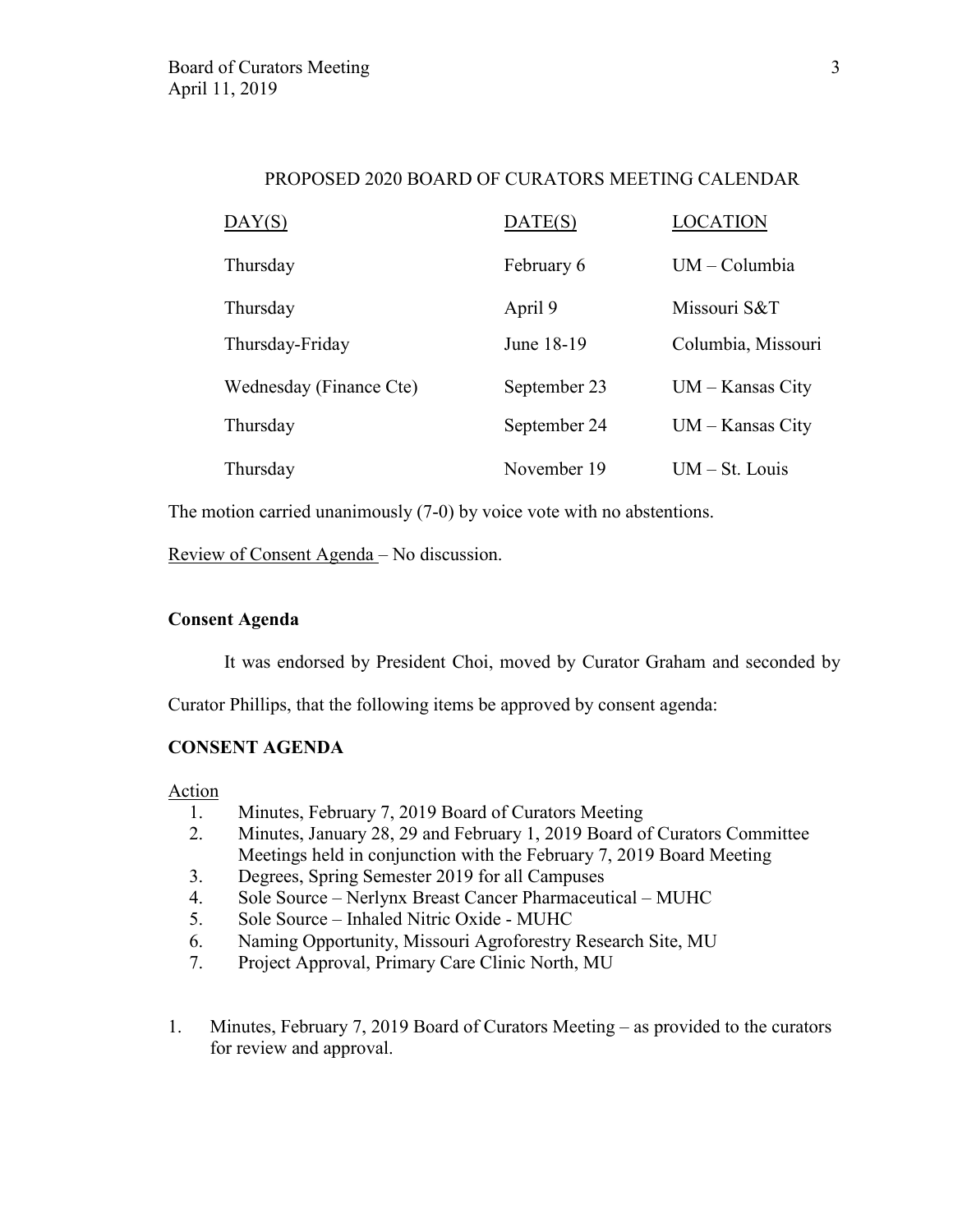# PROPOSED 2020 BOARD OF CURATORS MEETING CALENDAR

| DAY(S)                  | DATE(S)      | LOCATION           |
|-------------------------|--------------|--------------------|
| Thursday                | February 6   | UM - Columbia      |
| Thursday                | April 9      | Missouri S&T       |
| Thursday-Friday         | June 18-19   | Columbia, Missouri |
| Wednesday (Finance Cte) | September 23 | $UM - Kansas City$ |
| Thursday                | September 24 | $UM - Kansas City$ |
| Thursday                | November 19  | $UM - St. Louis$   |

The motion carried unanimously (7-0) by voice vote with no abstentions.

Review of Consent Agenda – No discussion.

# **Consent Agenda**

It was endorsed by President Choi, moved by Curator Graham and seconded by

Curator Phillips, that the following items be approved by consent agenda:

# **CONSENT AGENDA**

**Action** 

- 1. Minutes, February 7, 2019 Board of Curators Meeting
- 2. Minutes, January 28, 29 and February 1, 2019 Board of Curators Committee Meetings held in conjunction with the February 7, 2019 Board Meeting
- 3. Degrees, Spring Semester 2019 for all Campuses
- 4. Sole Source Nerlynx Breast Cancer Pharmaceutical MUHC
- 5. Sole Source Inhaled Nitric Oxide MUHC
- 6. Naming Opportunity, Missouri Agroforestry Research Site, MU
- 7. Project Approval, Primary Care Clinic North, MU
- 1. Minutes, February 7, 2019 Board of Curators Meeting as provided to the curators for review and approval.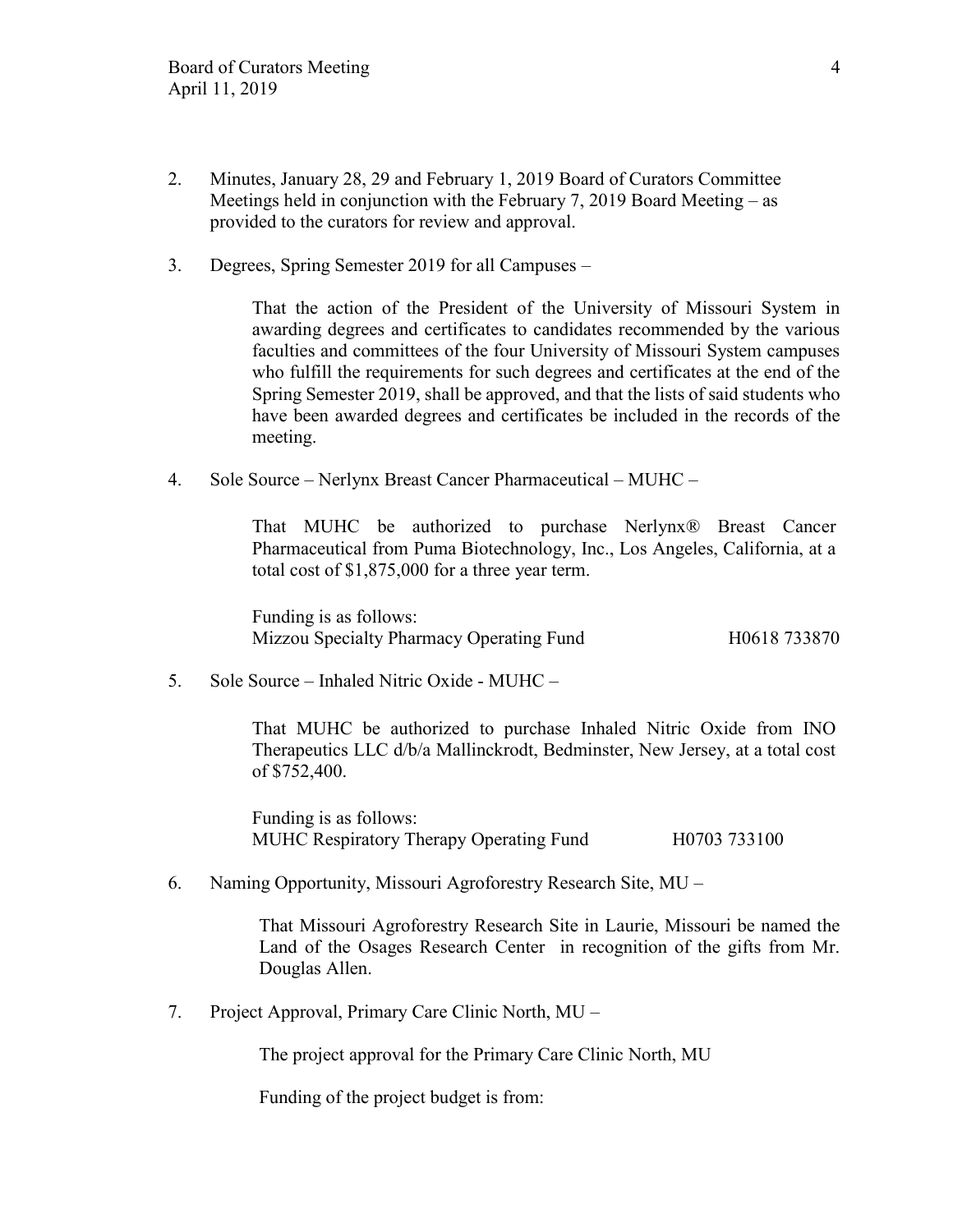- 2. Minutes, January 28, 29 and February 1, 2019 Board of Curators Committee Meetings held in conjunction with the February 7, 2019 Board Meeting – as provided to the curators for review and approval.
- 3. Degrees, Spring Semester 2019 for all Campuses –

That the action of the President of the University of Missouri System in awarding degrees and certificates to candidates recommended by the various faculties and committees of the four University of Missouri System campuses who fulfill the requirements for such degrees and certificates at the end of the Spring Semester 2019, shall be approved, and that the lists of said students who have been awarded degrees and certificates be included in the records of the meeting.

4. Sole Source – Nerlynx Breast Cancer Pharmaceutical – MUHC –

That MUHC be authorized to purchase Nerlynx® Breast Cancer Pharmaceutical from Puma Biotechnology, Inc., Los Angeles, California, at a total cost of \$1,875,000 for a three year term.

Funding is as follows: Mizzou Specialty Pharmacy Operating Fund H0618 733870

5. Sole Source – Inhaled Nitric Oxide - MUHC –

That MUHC be authorized to purchase Inhaled Nitric Oxide from INO Therapeutics LLC d/b/a Mallinckrodt, Bedminster, New Jersey, at a total cost of \$752,400.

Funding is as follows: MUHC Respiratory Therapy Operating Fund H0703 733100

6. Naming Opportunity, Missouri Agroforestry Research Site, MU –

That Missouri Agroforestry Research Site in Laurie, Missouri be named the Land of the Osages Research Center in recognition of the gifts from Mr. Douglas Allen.

7. Project Approval, Primary Care Clinic North, MU –

The project approval for the Primary Care Clinic North, MU

Funding of the project budget is from: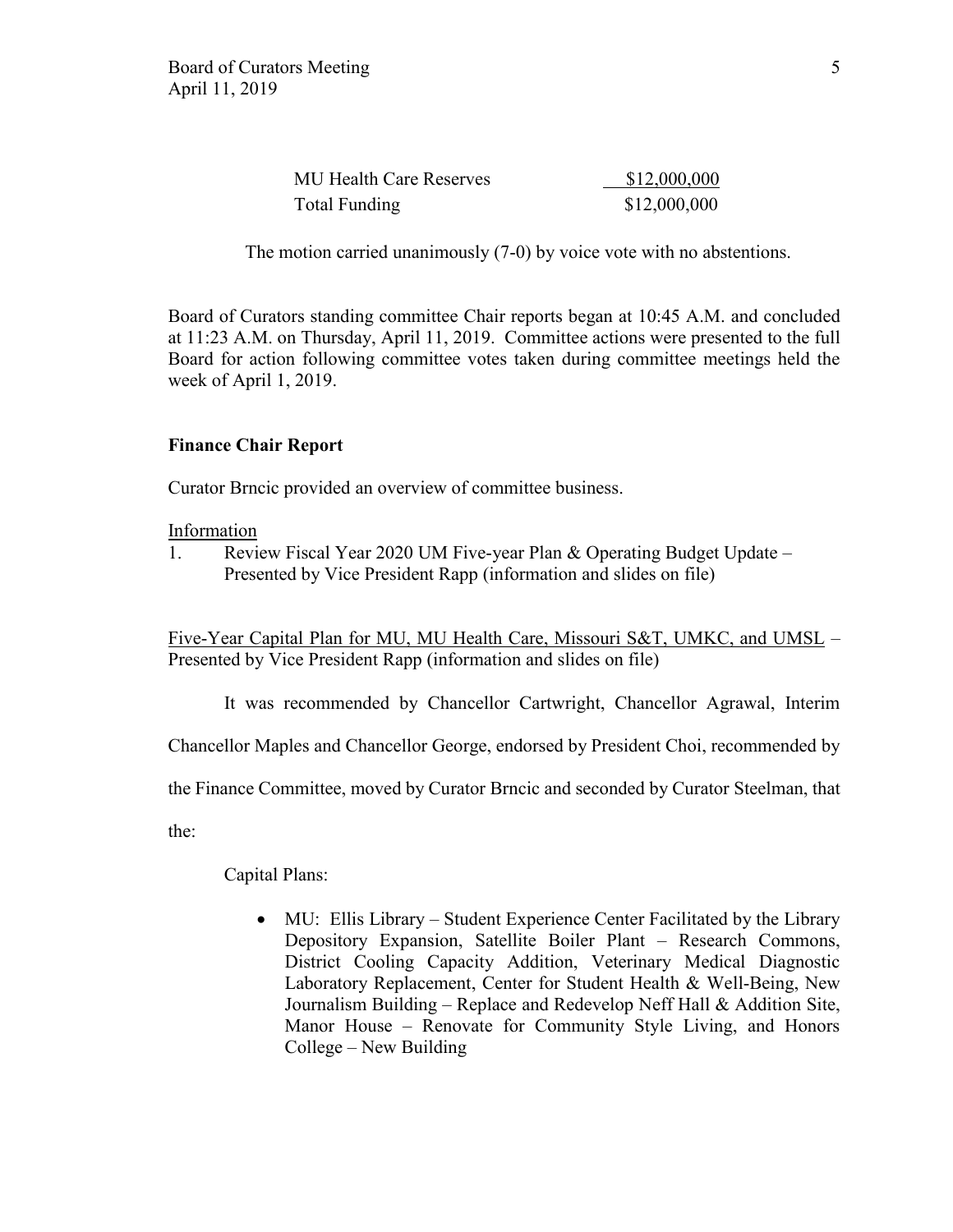| <b>MU Health Care Reserves</b> | \$12,000,000 |
|--------------------------------|--------------|
| Total Funding                  | \$12,000,000 |

The motion carried unanimously (7-0) by voice vote with no abstentions.

Board of Curators standing committee Chair reports began at 10:45 A.M. and concluded at 11:23 A.M. on Thursday, April 11, 2019. Committee actions were presented to the full Board for action following committee votes taken during committee meetings held the week of April 1, 2019.

### **Finance Chair Report**

Curator Brncic provided an overview of committee business.

Information

1. Review Fiscal Year 2020 UM Five-year Plan & Operating Budget Update – Presented by Vice President Rapp (information and slides on file)

Five-Year Capital Plan for MU, MU Health Care, Missouri S&T, UMKC, and UMSL – Presented by Vice President Rapp (information and slides on file)

It was recommended by Chancellor Cartwright, Chancellor Agrawal, Interim

Chancellor Maples and Chancellor George, endorsed by President Choi, recommended by

the Finance Committee, moved by Curator Brncic and seconded by Curator Steelman, that

the:

Capital Plans:

• MU: Ellis Library – Student Experience Center Facilitated by the Library Depository Expansion, Satellite Boiler Plant – Research Commons, District Cooling Capacity Addition, Veterinary Medical Diagnostic Laboratory Replacement, Center for Student Health & Well-Being, New Journalism Building – Replace and Redevelop Neff Hall & Addition Site, Manor House – Renovate for Community Style Living, and Honors College – New Building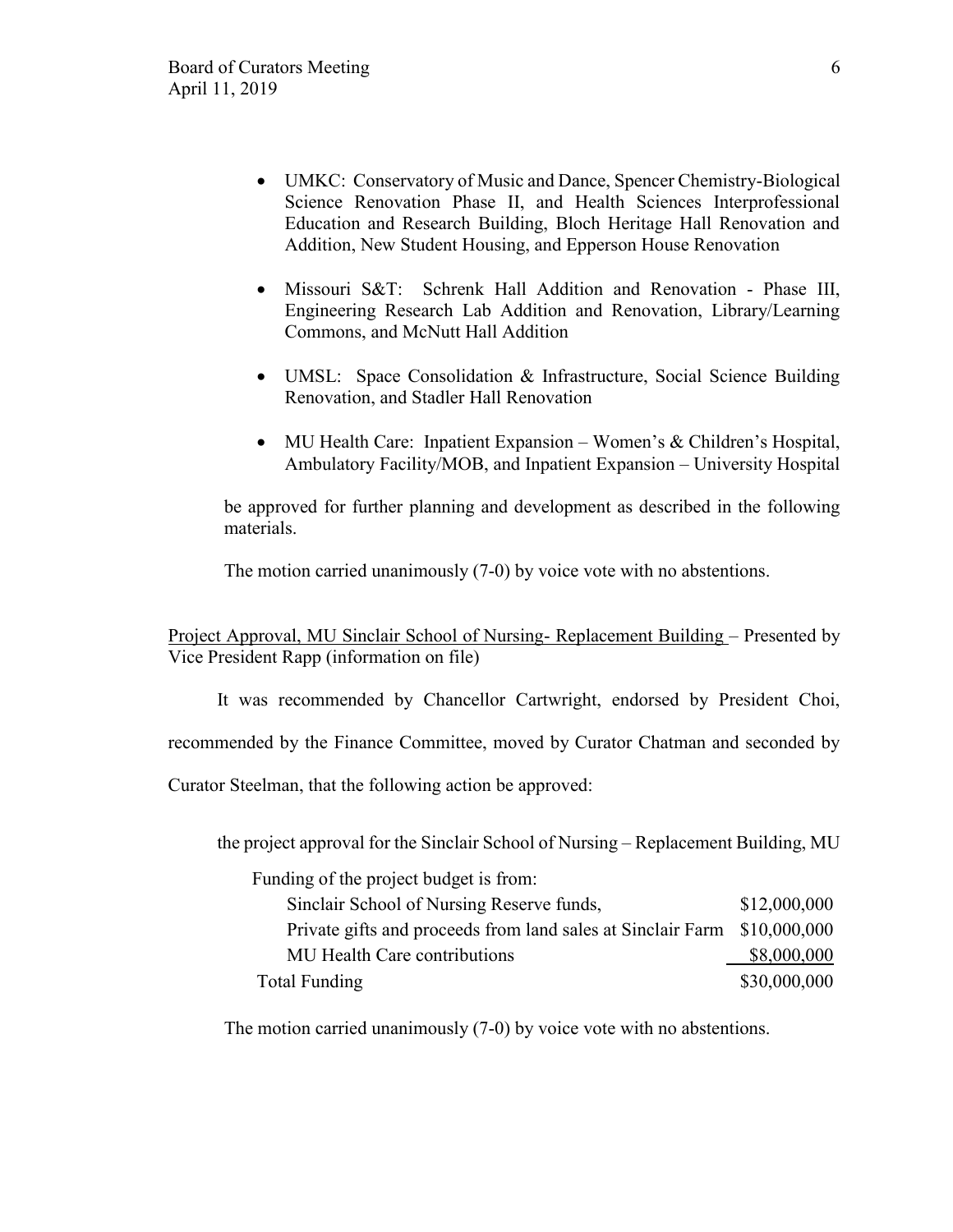- UMKC: Conservatory of Music and Dance, Spencer Chemistry-Biological Science Renovation Phase II, and Health Sciences Interprofessional Education and Research Building, Bloch Heritage Hall Renovation and Addition, New Student Housing, and Epperson House Renovation
- Missouri S&T: Schrenk Hall Addition and Renovation Phase III, Engineering Research Lab Addition and Renovation, Library/Learning Commons, and McNutt Hall Addition
- UMSL: Space Consolidation & Infrastructure, Social Science Building Renovation, and Stadler Hall Renovation
- MU Health Care: Inpatient Expansion Women's & Children's Hospital, Ambulatory Facility/MOB, and Inpatient Expansion – University Hospital

be approved for further planning and development as described in the following materials.

The motion carried unanimously (7-0) by voice vote with no abstentions.

Project Approval, MU Sinclair School of Nursing- Replacement Building – Presented by Vice President Rapp (information on file)

It was recommended by Chancellor Cartwright, endorsed by President Choi,

recommended by the Finance Committee, moved by Curator Chatman and seconded by

Curator Steelman, that the following action be approved:

the project approval for the Sinclair School of Nursing – Replacement Building, MU

Funding of the project budget is from: Sinclair School of Nursing Reserve funds,  $$12,000,000$ Private gifts and proceeds from land sales at Sinclair Farm \$10,000,000 MU Health Care contributions \$8,000,000 Total Funding \$30,000,000 \$30,000,000

The motion carried unanimously (7-0) by voice vote with no abstentions.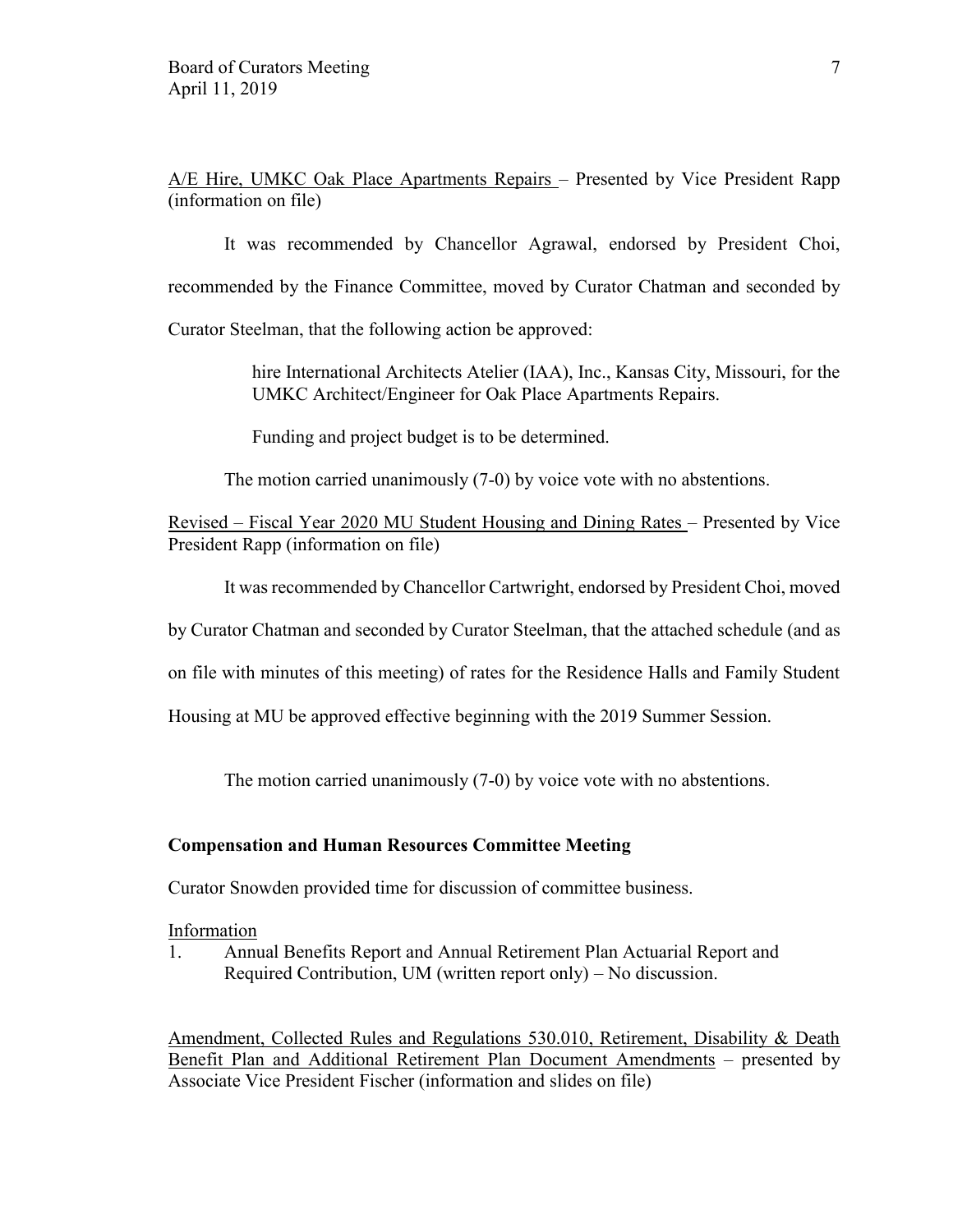A/E Hire, UMKC Oak Place Apartments Repairs – Presented by Vice President Rapp (information on file)

It was recommended by Chancellor Agrawal, endorsed by President Choi, recommended by the Finance Committee, moved by Curator Chatman and seconded by Curator Steelman, that the following action be approved:

> hire International Architects Atelier (IAA), Inc., Kansas City, Missouri, for the UMKC Architect/Engineer for Oak Place Apartments Repairs.

Funding and project budget is to be determined.

The motion carried unanimously (7-0) by voice vote with no abstentions.

Revised – Fiscal Year 2020 MU Student Housing and Dining Rates – Presented by Vice President Rapp (information on file)

It was recommended by Chancellor Cartwright, endorsed by President Choi, moved

by Curator Chatman and seconded by Curator Steelman, that the attached schedule (and as

on file with minutes of this meeting) of rates for the Residence Halls and Family Student

Housing at MU be approved effective beginning with the 2019 Summer Session.

The motion carried unanimously (7-0) by voice vote with no abstentions.

#### **Compensation and Human Resources Committee Meeting**

Curator Snowden provided time for discussion of committee business.

Information

1. Annual Benefits Report and Annual Retirement Plan Actuarial Report and Required Contribution, UM (written report only) – No discussion.

Amendment, Collected Rules and Regulations 530.010, Retirement, Disability & Death Benefit Plan and Additional Retirement Plan Document Amendments – presented by Associate Vice President Fischer (information and slides on file)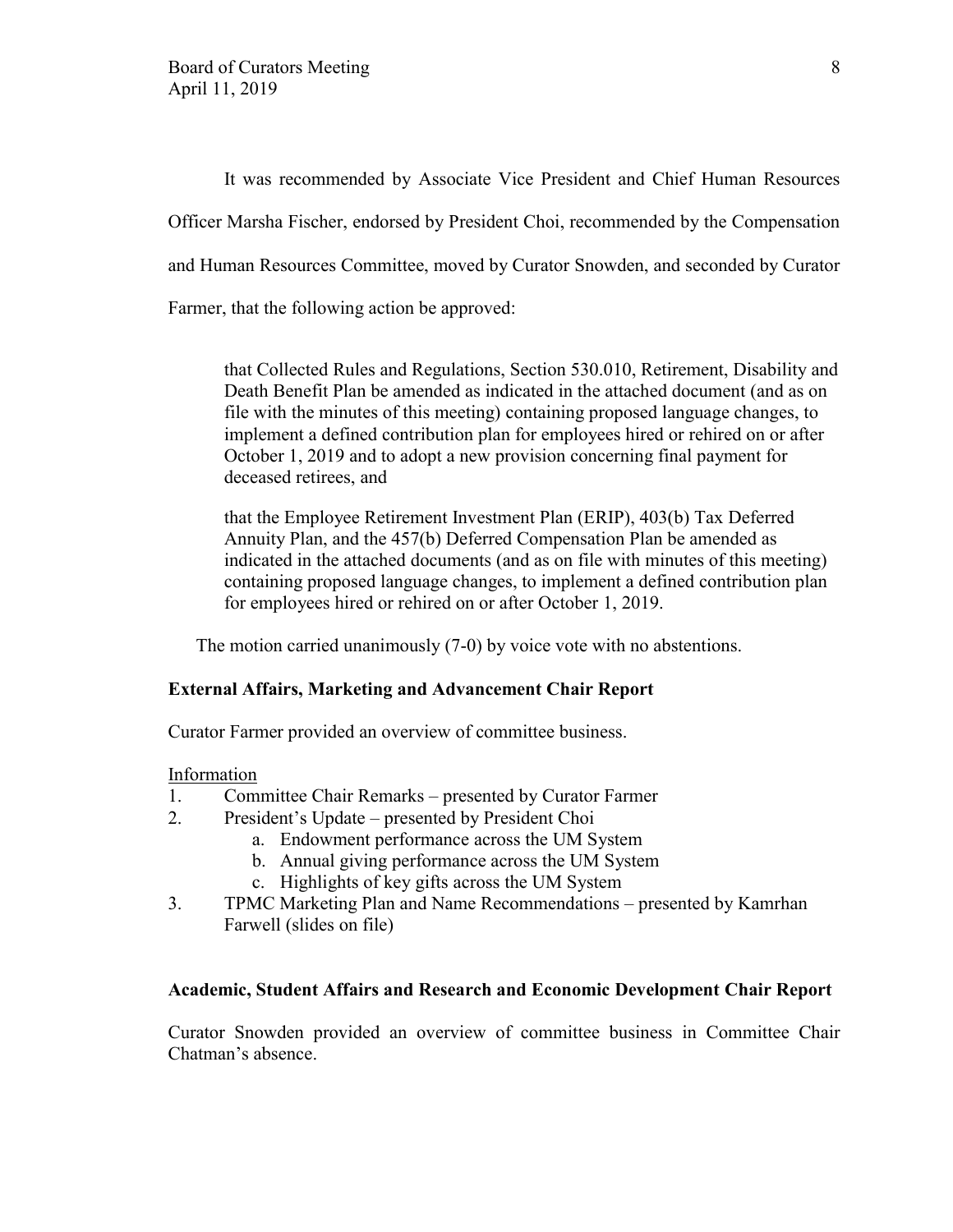It was recommended by Associate Vice President and Chief Human Resources Officer Marsha Fischer, endorsed by President Choi, recommended by the Compensation and Human Resources Committee, moved by Curator Snowden, and seconded by Curator Farmer, that the following action be approved:

that Collected Rules and Regulations, Section 530.010, Retirement, Disability and Death Benefit Plan be amended as indicated in the attached document (and as on file with the minutes of this meeting) containing proposed language changes, to implement a defined contribution plan for employees hired or rehired on or after October 1, 2019 and to adopt a new provision concerning final payment for deceased retirees, and

that the Employee Retirement Investment Plan (ERIP), 403(b) Tax Deferred Annuity Plan, and the 457(b) Deferred Compensation Plan be amended as indicated in the attached documents (and as on file with minutes of this meeting) containing proposed language changes, to implement a defined contribution plan for employees hired or rehired on or after October 1, 2019.

The motion carried unanimously (7-0) by voice vote with no abstentions.

## **External Affairs, Marketing and Advancement Chair Report**

Curator Farmer provided an overview of committee business.

#### Information

- 1. Committee Chair Remarks presented by Curator Farmer
- 2. President's Update presented by President Choi
	- a. Endowment performance across the UM System
	- b. Annual giving performance across the UM System
	- c. Highlights of key gifts across the UM System
- 3. TPMC Marketing Plan and Name Recommendations presented by Kamrhan Farwell (slides on file)

#### **Academic, Student Affairs and Research and Economic Development Chair Report**

Curator Snowden provided an overview of committee business in Committee Chair Chatman's absence.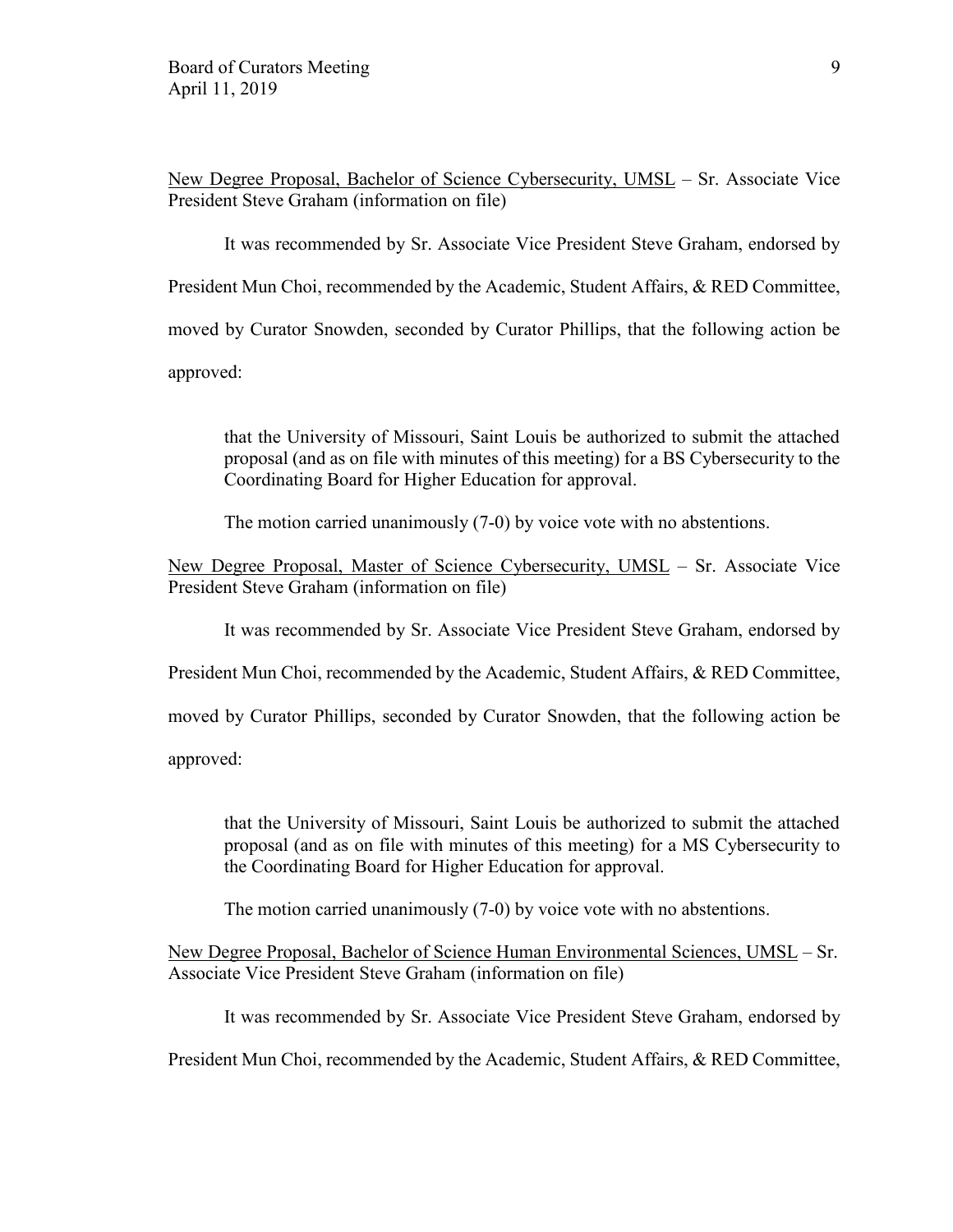New Degree Proposal, Bachelor of Science Cybersecurity, UMSL – Sr. Associate Vice President Steve Graham (information on file)

It was recommended by Sr. Associate Vice President Steve Graham, endorsed by President Mun Choi, recommended by the Academic, Student Affairs, & RED Committee,

moved by Curator Snowden, seconded by Curator Phillips, that the following action be

approved:

that the University of Missouri, Saint Louis be authorized to submit the attached proposal (and as on file with minutes of this meeting) for a BS Cybersecurity to the Coordinating Board for Higher Education for approval.

The motion carried unanimously (7-0) by voice vote with no abstentions.

New Degree Proposal, Master of Science Cybersecurity, UMSL – Sr. Associate Vice President Steve Graham (information on file)

It was recommended by Sr. Associate Vice President Steve Graham, endorsed by

President Mun Choi, recommended by the Academic, Student Affairs, & RED Committee,

moved by Curator Phillips, seconded by Curator Snowden, that the following action be

approved:

that the University of Missouri, Saint Louis be authorized to submit the attached proposal (and as on file with minutes of this meeting) for a MS Cybersecurity to the Coordinating Board for Higher Education for approval.

The motion carried unanimously (7-0) by voice vote with no abstentions.

New Degree Proposal, Bachelor of Science Human Environmental Sciences, UMSL – Sr. Associate Vice President Steve Graham (information on file)

It was recommended by Sr. Associate Vice President Steve Graham, endorsed by

President Mun Choi, recommended by the Academic, Student Affairs, & RED Committee,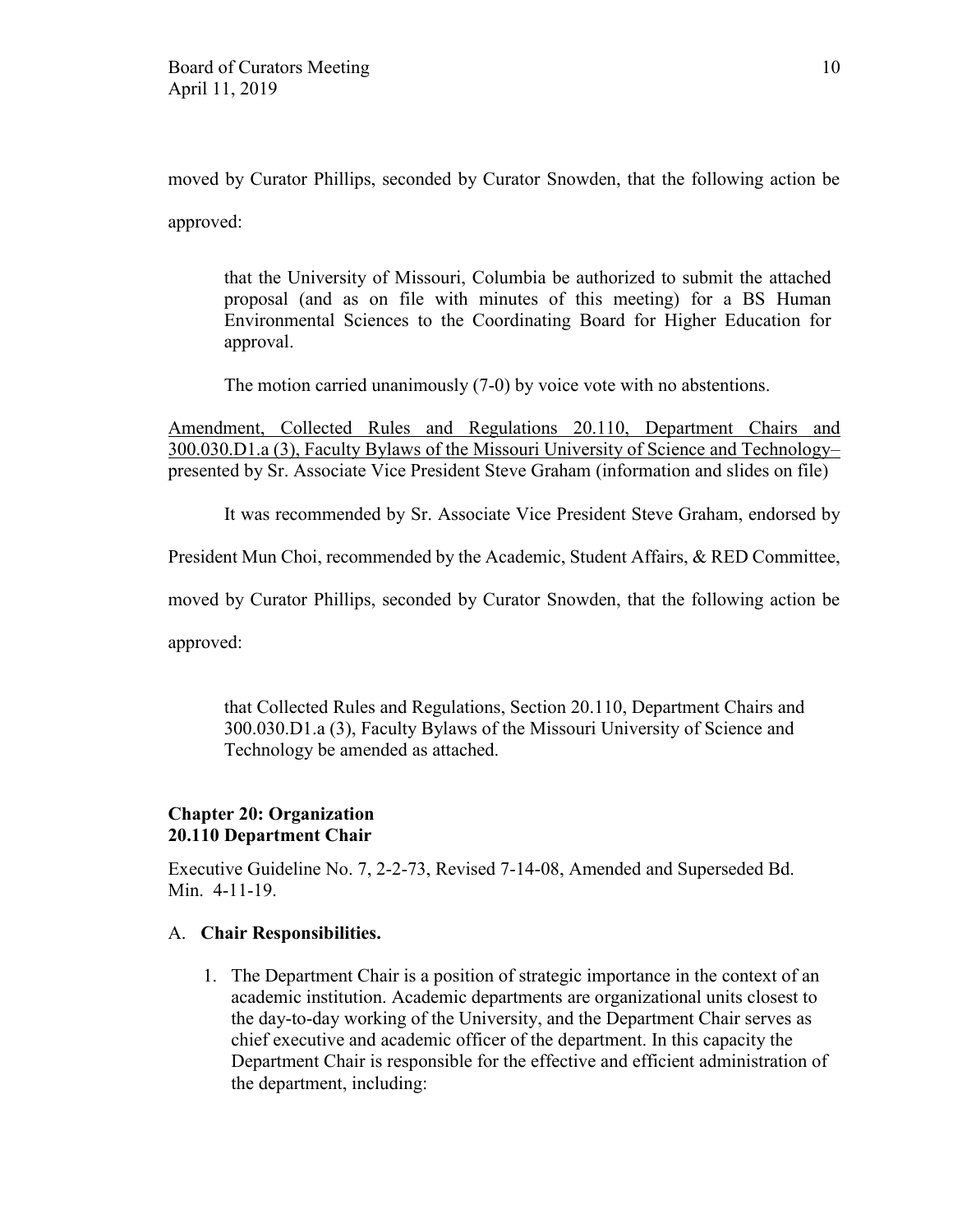moved by Curator Phillips, seconded by Curator Snowden, that the following action be approved:

that the University of Missouri, Columbia be authorized to submit the attached proposal (and as on file with minutes of this meeting) for a BS Human Environmental Sciences to the Coordinating Board for Higher Education for approval.

The motion carried unanimously (7-0) by voice vote with no abstentions.

Amendment, Collected Rules and Regulations 20.110, Department Chairs and 300.030.D1.a (3), Faculty Bylaws of the Missouri University of Science and Technology– presented by Sr. Associate Vice President Steve Graham (information and slides on file)

It was recommended by Sr. Associate Vice President Steve Graham, endorsed by

President Mun Choi, recommended by the Academic, Student Affairs, & RED Committee,

moved by Curator Phillips, seconded by Curator Snowden, that the following action be

approved:

that Collected Rules and Regulations, Section 20.110, Department Chairs and 300.030.D1.a (3), Faculty Bylaws of the Missouri University of Science and Technology be amended as attached.

# **Chapter 20: Organization 20.110 Department Chair**

Executive Guideline No. 7, 2-2-73, Revised 7-14-08, Amended and Superseded Bd. Min. 4-11-19.

## A. **Chair Responsibilities.**

1. The Department Chair is a position of strategic importance in the context of an academic institution. Academic departments are organizational units closest to the day-to-day working of the University, and the Department Chair serves as chief executive and academic officer of the department. In this capacity the Department Chair is responsible for the effective and efficient administration of the department, including: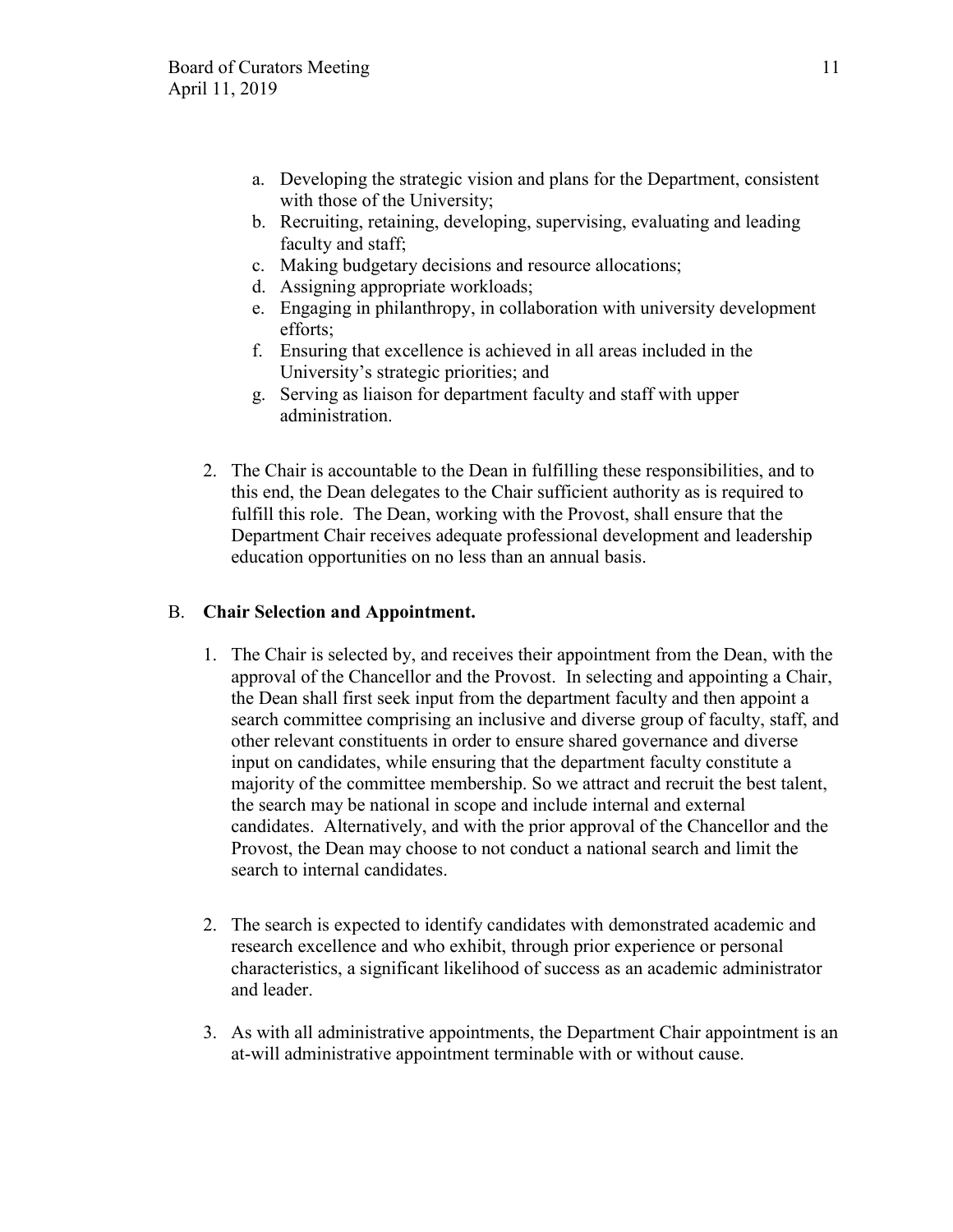- a. Developing the strategic vision and plans for the Department, consistent with those of the University;
- b. Recruiting, retaining, developing, supervising, evaluating and leading faculty and staff;
- c. Making budgetary decisions and resource allocations;
- d. Assigning appropriate workloads;
- e. Engaging in philanthropy, in collaboration with university development efforts;
- f. Ensuring that excellence is achieved in all areas included in the University's strategic priorities; and
- g. Serving as liaison for department faculty and staff with upper administration.
- 2. The Chair is accountable to the Dean in fulfilling these responsibilities, and to this end, the Dean delegates to the Chair sufficient authority as is required to fulfill this role. The Dean, working with the Provost, shall ensure that the Department Chair receives adequate professional development and leadership education opportunities on no less than an annual basis.

# B. **Chair Selection and Appointment.**

- 1. The Chair is selected by, and receives their appointment from the Dean, with the approval of the Chancellor and the Provost. In selecting and appointing a Chair, the Dean shall first seek input from the department faculty and then appoint a search committee comprising an inclusive and diverse group of faculty, staff, and other relevant constituents in order to ensure shared governance and diverse input on candidates, while ensuring that the department faculty constitute a majority of the committee membership. So we attract and recruit the best talent, the search may be national in scope and include internal and external candidates. Alternatively, and with the prior approval of the Chancellor and the Provost, the Dean may choose to not conduct a national search and limit the search to internal candidates.
- 2. The search is expected to identify candidates with demonstrated academic and research excellence and who exhibit, through prior experience or personal characteristics, a significant likelihood of success as an academic administrator and leader.
- 3. As with all administrative appointments, the Department Chair appointment is an at-will administrative appointment terminable with or without cause.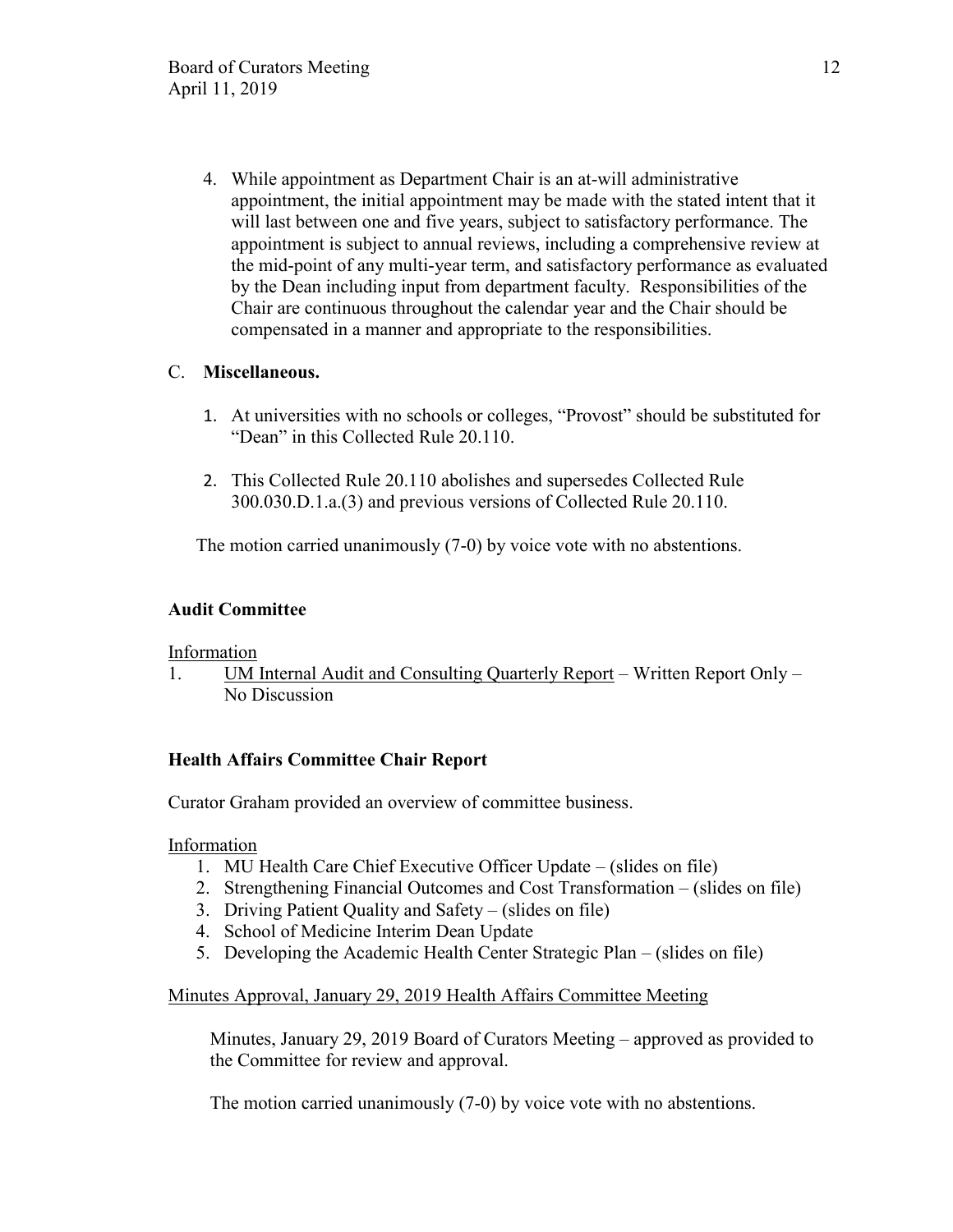4. While appointment as Department Chair is an at-will administrative appointment, the initial appointment may be made with the stated intent that it will last between one and five years, subject to satisfactory performance. The appointment is subject to annual reviews, including a comprehensive review at the mid-point of any multi-year term, and satisfactory performance as evaluated by the Dean including input from department faculty. Responsibilities of the Chair are continuous throughout the calendar year and the Chair should be compensated in a manner and appropriate to the responsibilities.

# C. **Miscellaneous.**

- 1. At universities with no schools or colleges, "Provost" should be substituted for "Dean" in this Collected Rule 20.110.
- 2. This Collected Rule 20.110 abolishes and supersedes Collected Rule 300.030.D.1.a.(3) and previous versions of Collected Rule 20.110.

The motion carried unanimously (7-0) by voice vote with no abstentions.

## **Audit Committee**

Information

1. UM Internal Audit and Consulting Quarterly Report – Written Report Only – No Discussion

# **Health Affairs Committee Chair Report**

Curator Graham provided an overview of committee business.

Information

- 1. MU Health Care Chief Executive Officer Update (slides on file)
- 2. Strengthening Financial Outcomes and Cost Transformation (slides on file)
- 3. Driving Patient Quality and Safety (slides on file)
- 4. School of Medicine Interim Dean Update
- 5. Developing the Academic Health Center Strategic Plan (slides on file)

# Minutes Approval, January 29, 2019 Health Affairs Committee Meeting

Minutes, January 29, 2019 Board of Curators Meeting – approved as provided to the Committee for review and approval.

The motion carried unanimously (7-0) by voice vote with no abstentions.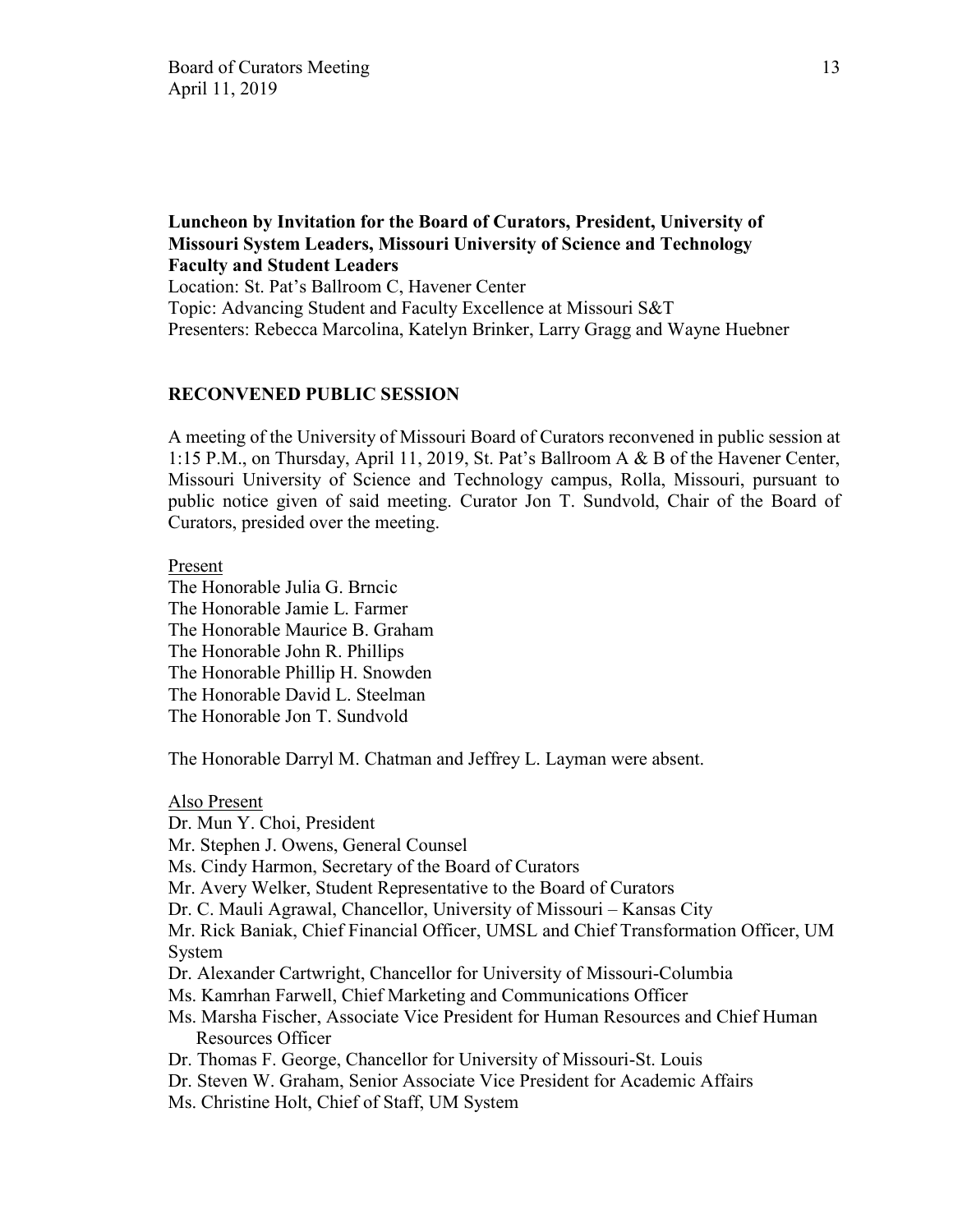**Luncheon by Invitation for the Board of Curators, President, University of Missouri System Leaders, Missouri University of Science and Technology Faculty and Student Leaders**  Location: St. Pat's Ballroom C, Havener Center

Topic: Advancing Student and Faculty Excellence at Missouri S&T Presenters: Rebecca Marcolina, Katelyn Brinker, Larry Gragg and Wayne Huebner

### **RECONVENED PUBLIC SESSION**

A meeting of the University of Missouri Board of Curators reconvened in public session at 1:15 P.M., on Thursday, April 11, 2019, St. Pat's Ballroom A & B of the Havener Center, Missouri University of Science and Technology campus, Rolla, Missouri, pursuant to public notice given of said meeting. Curator Jon T. Sundvold, Chair of the Board of Curators, presided over the meeting.

Present

The Honorable Julia G. Brncic The Honorable Jamie L. Farmer The Honorable Maurice B. Graham The Honorable John R. Phillips The Honorable Phillip H. Snowden The Honorable David L. Steelman The Honorable Jon T. Sundvold

The Honorable Darryl M. Chatman and Jeffrey L. Layman were absent.

Also Present Dr. Mun Y. Choi, President Mr. Stephen J. Owens, General Counsel Ms. Cindy Harmon, Secretary of the Board of Curators Mr. Avery Welker, Student Representative to the Board of Curators Dr. C. Mauli Agrawal, Chancellor, University of Missouri – Kansas City Mr. Rick Baniak, Chief Financial Officer, UMSL and Chief Transformation Officer, UM System Dr. Alexander Cartwright, Chancellor for University of Missouri-Columbia Ms. Kamrhan Farwell, Chief Marketing and Communications Officer Ms. Marsha Fischer, Associate Vice President for Human Resources and Chief Human Resources Officer Dr. Thomas F. George, Chancellor for University of Missouri-St. Louis Dr. Steven W. Graham, Senior Associate Vice President for Academic Affairs Ms. Christine Holt, Chief of Staff, UM System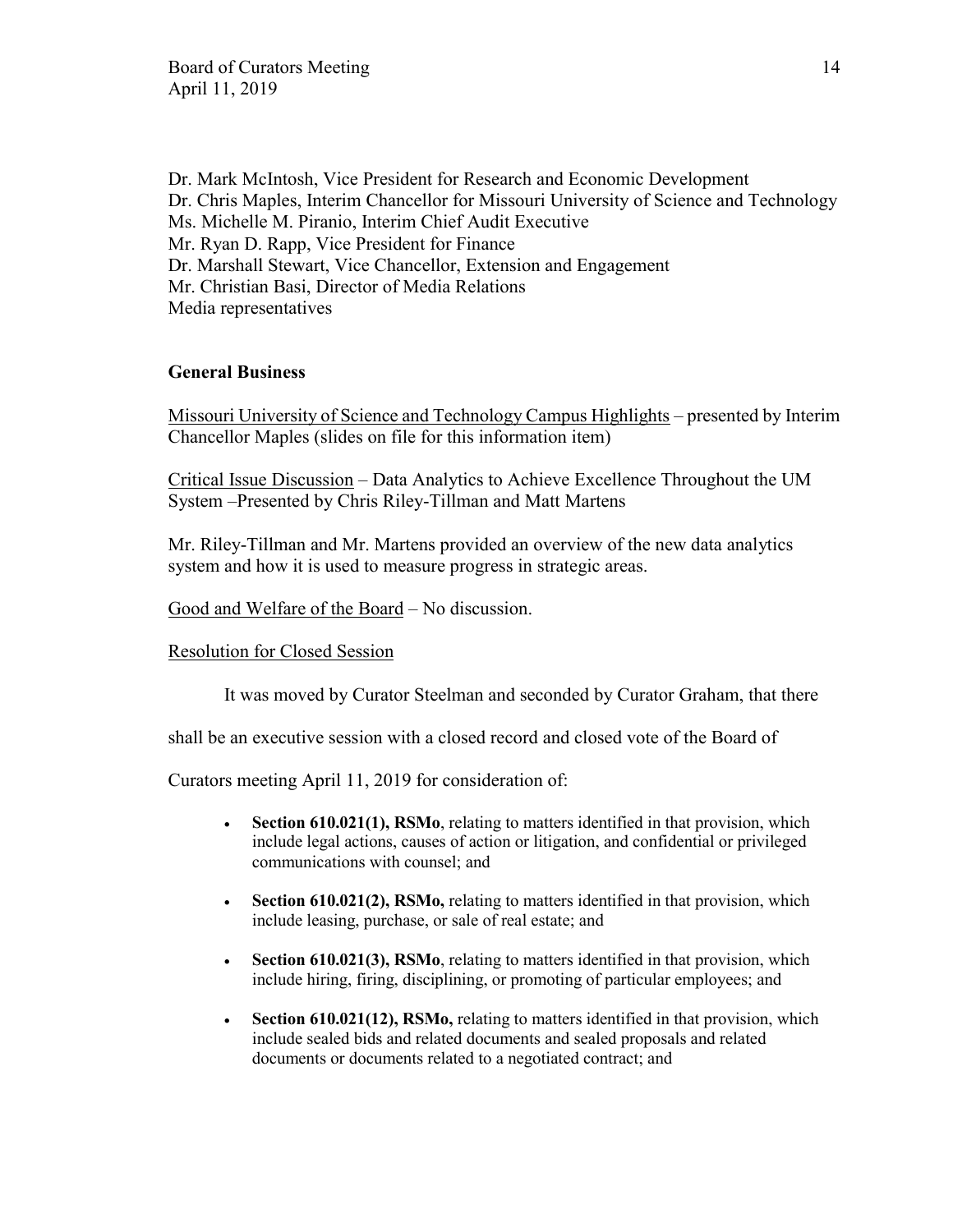Dr. Mark McIntosh, Vice President for Research and Economic Development Dr. Chris Maples, Interim Chancellor for Missouri University of Science and Technology Ms. Michelle M. Piranio, Interim Chief Audit Executive Mr. Ryan D. Rapp, Vice President for Finance Dr. Marshall Stewart, Vice Chancellor, Extension and Engagement Mr. Christian Basi, Director of Media Relations Media representatives

## **General Business**

Missouri University of Science and Technology Campus Highlights – presented by Interim Chancellor Maples (slides on file for this information item)

Critical Issue Discussion – Data Analytics to Achieve Excellence Throughout the UM System –Presented by Chris Riley-Tillman and Matt Martens

Mr. Riley-Tillman and Mr. Martens provided an overview of the new data analytics system and how it is used to measure progress in strategic areas.

Good and Welfare of the Board – No discussion.

#### Resolution for Closed Session

It was moved by Curator Steelman and seconded by Curator Graham, that there

shall be an executive session with a closed record and closed vote of the Board of

Curators meeting April 11, 2019 for consideration of:

- **Section 610.021(1), RSMo**, relating to matters identified in that provision, which include legal actions, causes of action or litigation, and confidential or privileged communications with counsel; and
- **Section 610.021(2), RSMo,** relating to matters identified in that provision, which include leasing, purchase, or sale of real estate; and
- **Section 610.021(3), RSMo**, relating to matters identified in that provision, which include hiring, firing, disciplining, or promoting of particular employees; and
- **Section 610.021(12), RSMo,** relating to matters identified in that provision, which include sealed bids and related documents and sealed proposals and related documents or documents related to a negotiated contract; and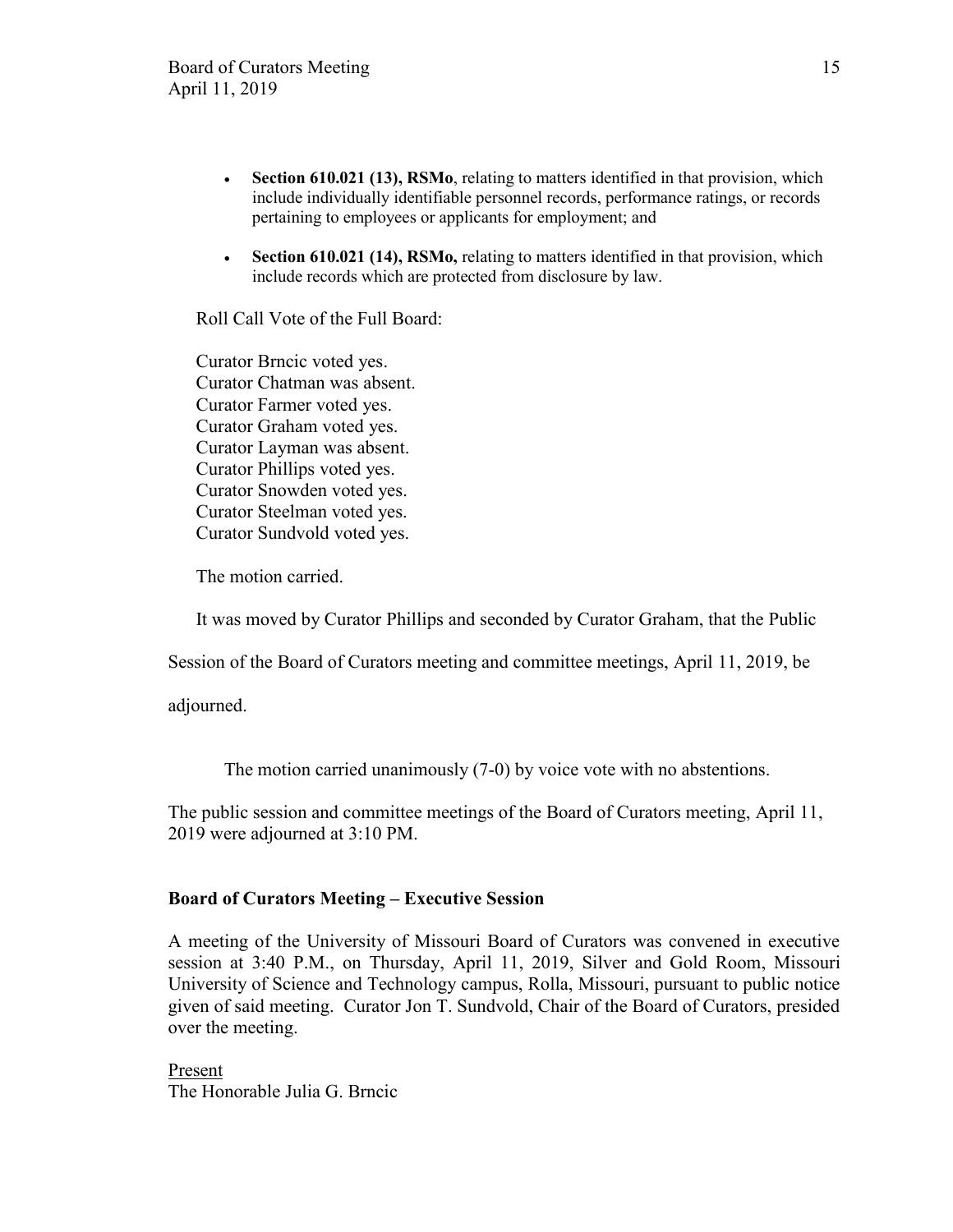- **Section 610.021 (13), RSMo**, relating to matters identified in that provision, which include individually identifiable personnel records, performance ratings, or records pertaining to employees or applicants for employment; and
- **Section 610.021 (14), RSMo,** relating to matters identified in that provision, which include records which are protected from disclosure by law.

Roll Call Vote of the Full Board:

Curator Brncic voted yes. Curator Chatman was absent. Curator Farmer voted yes. Curator Graham voted yes. Curator Layman was absent. Curator Phillips voted yes. Curator Snowden voted yes. Curator Steelman voted yes. Curator Sundvold voted yes.

The motion carried.

It was moved by Curator Phillips and seconded by Curator Graham, that the Public

Session of the Board of Curators meeting and committee meetings, April 11, 2019, be

adjourned.

The motion carried unanimously (7-0) by voice vote with no abstentions.

The public session and committee meetings of the Board of Curators meeting, April 11, 2019 were adjourned at 3:10 PM.

#### **Board of Curators Meeting – Executive Session**

A meeting of the University of Missouri Board of Curators was convened in executive session at 3:40 P.M., on Thursday, April 11, 2019, Silver and Gold Room, Missouri University of Science and Technology campus, Rolla, Missouri, pursuant to public notice given of said meeting. Curator Jon T. Sundvold, Chair of the Board of Curators, presided over the meeting.

Present The Honorable Julia G. Brncic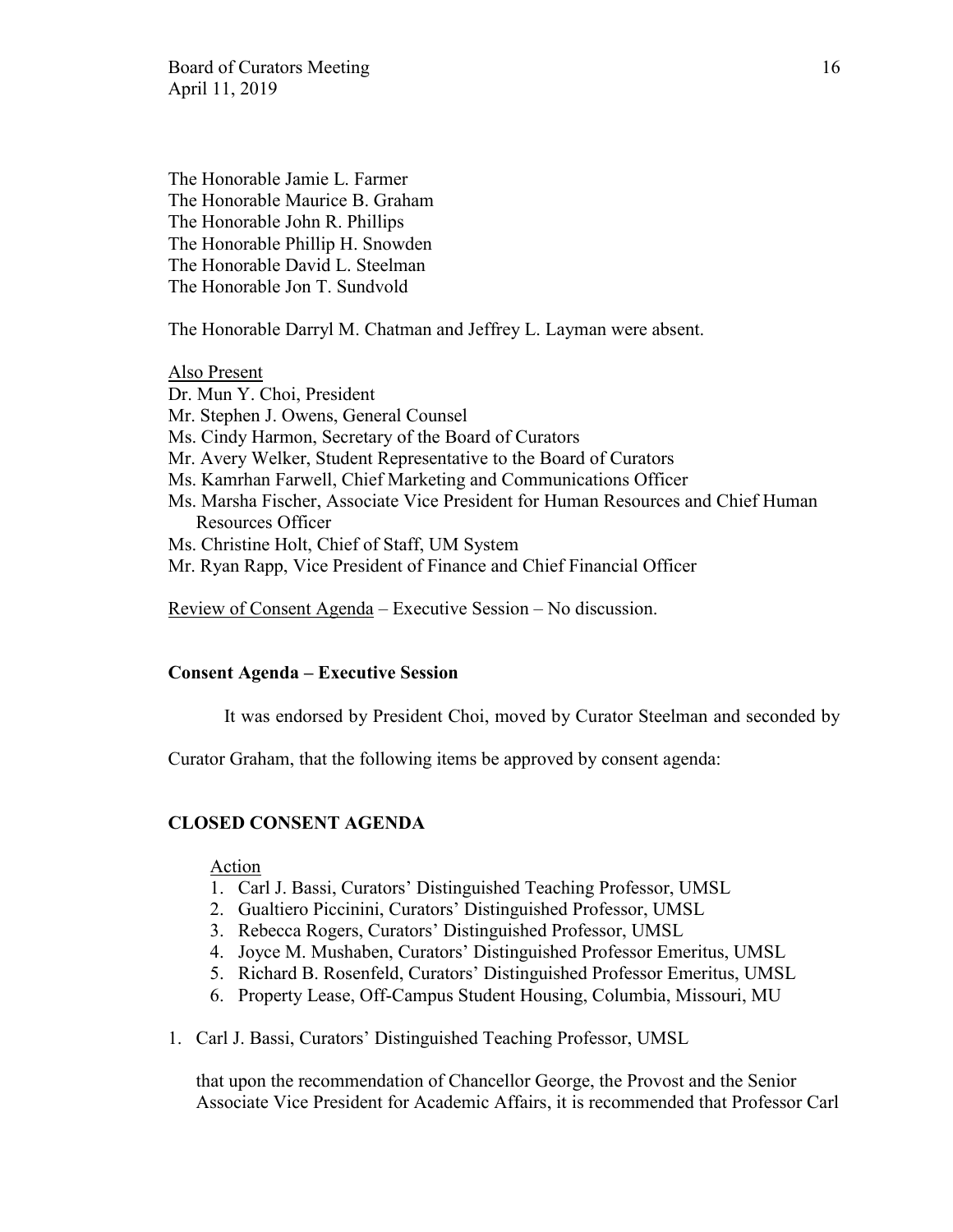Board of Curators Meeting 16 April 11, 2019

The Honorable Jamie L. Farmer The Honorable Maurice B. Graham The Honorable John R. Phillips The Honorable Phillip H. Snowden The Honorable David L. Steelman The Honorable Jon T. Sundvold

The Honorable Darryl M. Chatman and Jeffrey L. Layman were absent.

Also Present

Dr. Mun Y. Choi, President

- Mr. Stephen J. Owens, General Counsel
- Ms. Cindy Harmon, Secretary of the Board of Curators
- Mr. Avery Welker, Student Representative to the Board of Curators
- Ms. Kamrhan Farwell, Chief Marketing and Communications Officer
- Ms. Marsha Fischer, Associate Vice President for Human Resources and Chief Human Resources Officer
- Ms. Christine Holt, Chief of Staff, UM System
- Mr. Ryan Rapp, Vice President of Finance and Chief Financial Officer

Review of Consent Agenda – Executive Session – No discussion.

#### **Consent Agenda – Executive Session**

It was endorsed by President Choi, moved by Curator Steelman and seconded by

Curator Graham, that the following items be approved by consent agenda:

# **CLOSED CONSENT AGENDA**

#### Action

- 1. Carl J. Bassi, Curators' Distinguished Teaching Professor, UMSL
- 2. Gualtiero Piccinini, Curators' Distinguished Professor, UMSL
- 3. Rebecca Rogers, Curators' Distinguished Professor, UMSL
- 4. Joyce M. Mushaben, Curators' Distinguished Professor Emeritus, UMSL
- 5. Richard B. Rosenfeld, Curators' Distinguished Professor Emeritus, UMSL
- 6. Property Lease, Off-Campus Student Housing, Columbia, Missouri, MU
- 1. Carl J. Bassi, Curators' Distinguished Teaching Professor, UMSL

that upon the recommendation of Chancellor George, the Provost and the Senior Associate Vice President for Academic Affairs, it is recommended that Professor Carl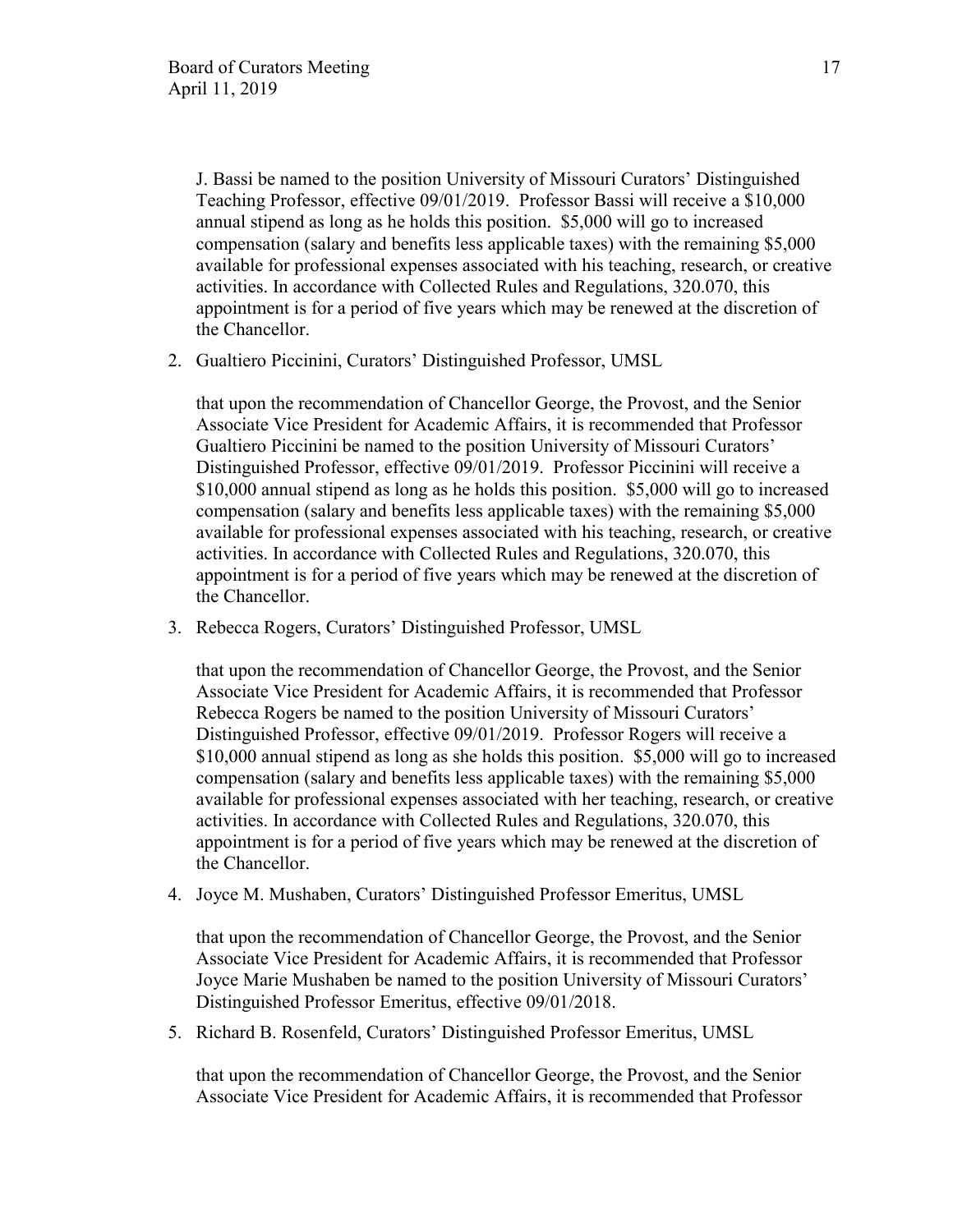J. Bassi be named to the position University of Missouri Curators' Distinguished Teaching Professor, effective 09/01/2019. Professor Bassi will receive a \$10,000 annual stipend as long as he holds this position. \$5,000 will go to increased compensation (salary and benefits less applicable taxes) with the remaining \$5,000 available for professional expenses associated with his teaching, research, or creative activities. In accordance with Collected Rules and Regulations, 320.070, this appointment is for a period of five years which may be renewed at the discretion of the Chancellor.

2. Gualtiero Piccinini, Curators' Distinguished Professor, UMSL

that upon the recommendation of Chancellor George, the Provost, and the Senior Associate Vice President for Academic Affairs, it is recommended that Professor Gualtiero Piccinini be named to the position University of Missouri Curators' Distinguished Professor, effective 09/01/2019. Professor Piccinini will receive a \$10,000 annual stipend as long as he holds this position. \$5,000 will go to increased compensation (salary and benefits less applicable taxes) with the remaining \$5,000 available for professional expenses associated with his teaching, research, or creative activities. In accordance with Collected Rules and Regulations, 320.070, this appointment is for a period of five years which may be renewed at the discretion of the Chancellor.

3. Rebecca Rogers, Curators' Distinguished Professor, UMSL

that upon the recommendation of Chancellor George, the Provost, and the Senior Associate Vice President for Academic Affairs, it is recommended that Professor Rebecca Rogers be named to the position University of Missouri Curators' Distinguished Professor, effective 09/01/2019. Professor Rogers will receive a \$10,000 annual stipend as long as she holds this position. \$5,000 will go to increased compensation (salary and benefits less applicable taxes) with the remaining \$5,000 available for professional expenses associated with her teaching, research, or creative activities. In accordance with Collected Rules and Regulations, 320.070, this appointment is for a period of five years which may be renewed at the discretion of the Chancellor.

4. Joyce M. Mushaben, Curators' Distinguished Professor Emeritus, UMSL

that upon the recommendation of Chancellor George, the Provost, and the Senior Associate Vice President for Academic Affairs, it is recommended that Professor Joyce Marie Mushaben be named to the position University of Missouri Curators' Distinguished Professor Emeritus, effective 09/01/2018.

5. Richard B. Rosenfeld, Curators' Distinguished Professor Emeritus, UMSL

that upon the recommendation of Chancellor George, the Provost, and the Senior Associate Vice President for Academic Affairs, it is recommended that Professor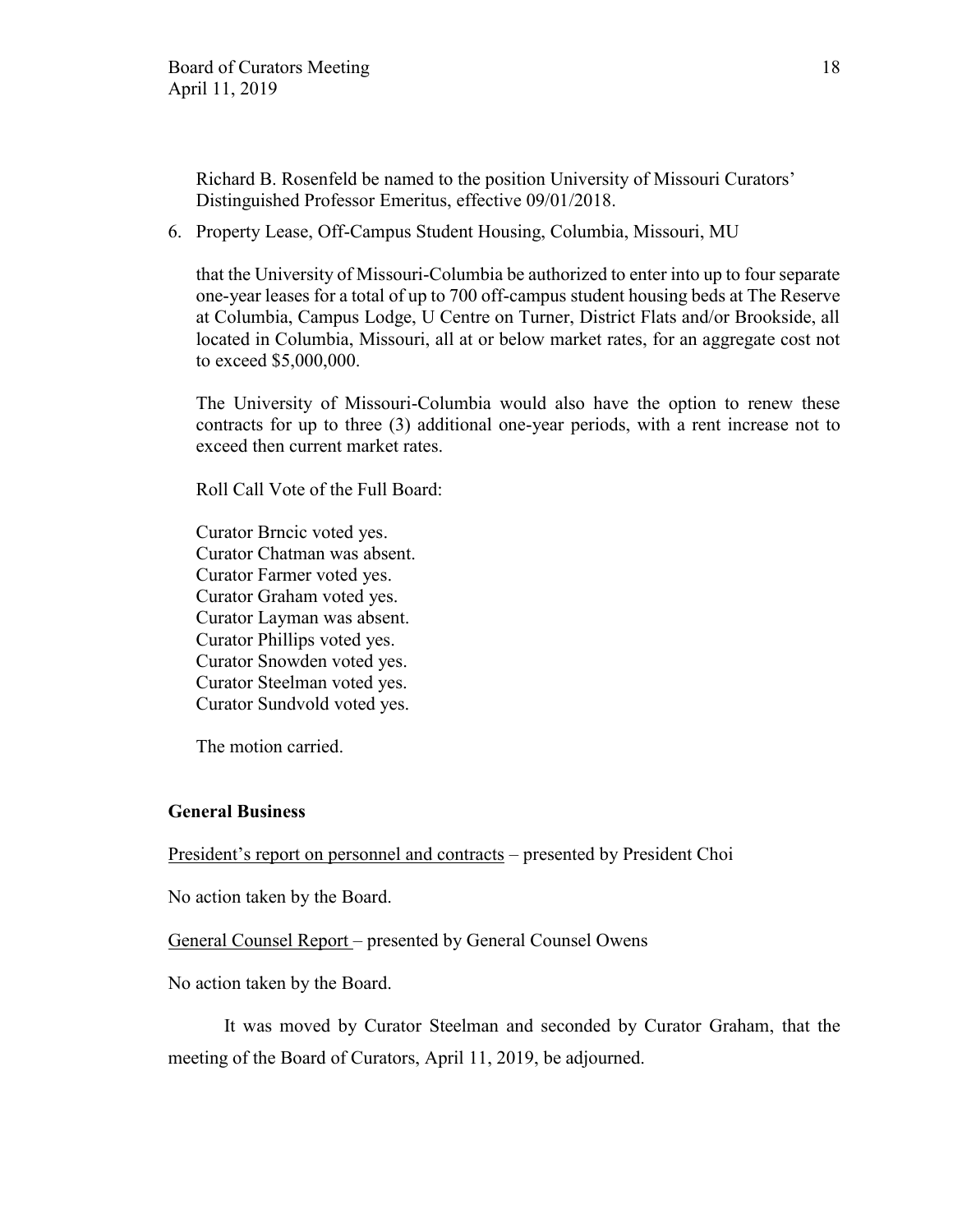Richard B. Rosenfeld be named to the position University of Missouri Curators' Distinguished Professor Emeritus, effective 09/01/2018.

6. Property Lease, Off-Campus Student Housing, Columbia, Missouri, MU

that the University of Missouri-Columbia be authorized to enter into up to four separate one-year leases for a total of up to 700 off-campus student housing beds at The Reserve at Columbia, Campus Lodge, U Centre on Turner, District Flats and/or Brookside, all located in Columbia, Missouri, all at or below market rates, for an aggregate cost not to exceed \$5,000,000.

The University of Missouri-Columbia would also have the option to renew these contracts for up to three (3) additional one-year periods, with a rent increase not to exceed then current market rates.

Roll Call Vote of the Full Board:

Curator Brncic voted yes. Curator Chatman was absent. Curator Farmer voted yes. Curator Graham voted yes. Curator Layman was absent. Curator Phillips voted yes. Curator Snowden voted yes. Curator Steelman voted yes. Curator Sundvold voted yes.

The motion carried.

#### **General Business**

President's report on personnel and contracts – presented by President Choi

No action taken by the Board.

General Counsel Report – presented by General Counsel Owens

No action taken by the Board.

It was moved by Curator Steelman and seconded by Curator Graham, that the meeting of the Board of Curators, April 11, 2019, be adjourned.